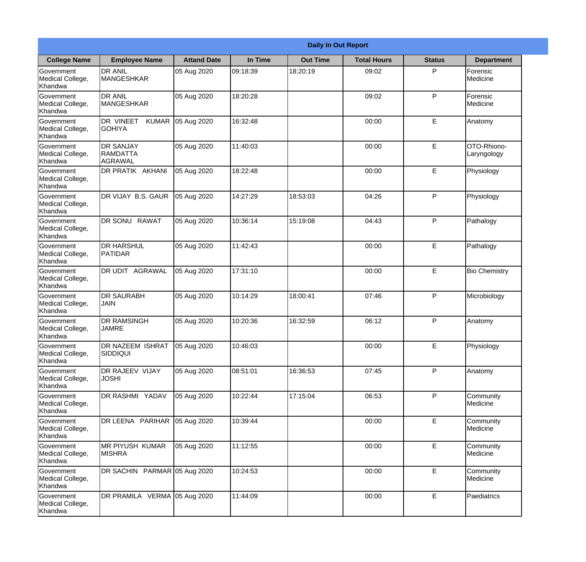|                                                  |                                                     |                    |          | <b>Daily In Out Report</b> |                    |               |                            |
|--------------------------------------------------|-----------------------------------------------------|--------------------|----------|----------------------------|--------------------|---------------|----------------------------|
| <b>College Name</b>                              | <b>Employee Name</b>                                | <b>Attand Date</b> | In Time  | <b>Out Time</b>            | <b>Total Hours</b> | <b>Status</b> | <b>Department</b>          |
| Government<br>Medical College,<br>Khandwa        | <b>DR ANIL</b><br><b>MANGESHKAR</b>                 | 05 Aug 2020        | 09:18:39 | 18:20:19                   | 09:02              | P             | Forensic<br>Medicine       |
| Government<br>Medical College,<br>Khandwa        | <b>DR ANIL</b><br><b>MANGESHKAR</b>                 | 05 Aug 2020        | 18:20:28 |                            | 09:02              | P             | Forensic<br>Medicine       |
| <b>Government</b><br>Medical College,<br>Khandwa | <b>I</b> DR VINEET<br><b>KUMAR</b><br><b>GOHIYA</b> | 05 Aug 2020        | 16:32:48 |                            | 00:00              | E             | Anatomy                    |
| <b>Government</b><br>Medical College,<br>Khandwa | <b>DR SANJAY</b><br>RAMDATTA<br><b>AGRAWAL</b>      | 05 Aug 2020        | 11:40:03 |                            | 00:00              | E             | OTO-Rhiono-<br>Laryngology |
| Government<br>Medical College,<br>Khandwa        | DR PRATIK AKHANI                                    | 05 Aug 2020        | 18:22:48 |                            | 00:00              | E             | Physiology                 |
| Government<br>Medical College,<br>Khandwa        | DR VIJAY B.S. GAUR                                  | 05 Aug 2020        | 14:27:29 | 18:53:03                   | 04:26              | P             | Physiology                 |
| <b>Government</b><br>Medical College,<br>Khandwa | DR SONU RAWAT                                       | 05 Aug 2020        | 10:36:14 | 15:19:08                   | 04:43              | P             | Pathalogy                  |
| <b>Government</b><br>Medical College,<br>Khandwa | <b>DR HARSHUL</b><br>PATIDAR                        | 05 Aug 2020        | 11:42:43 |                            | 00:00              | E             | Pathalogy                  |
| Government<br>Medical College,<br>Khandwa        | <b>DR UDIT AGRAWAL</b>                              | 05 Aug 2020        | 17:31:10 |                            | 00:00              | E             | <b>Bio Chemistry</b>       |
| Government<br>Medical College,<br>Khandwa        | <b>DR SAURABH</b><br><b>JAIN</b>                    | 05 Aug 2020        | 10:14:29 | 18:00:41                   | 07:46              | P             | Microbiology               |
| Government<br>Medical College,<br>Khandwa        | <b>IDR RAMSINGH</b><br><b>JAMRE</b>                 | 05 Aug 2020        | 10:20:36 | 16:32:59                   | 06:12              | P             | Anatomy                    |
| Government<br>Medical College,<br>Khandwa        | DR NAZEEM ISHRAT<br><b>SIDDIQUI</b>                 | 05 Aug 2020        | 10:46:03 |                            | 00:00              | E             | Physiology                 |
| Government<br>Medical College,<br>Khandwa        | DR RAJEEV VIJAY<br><b>JOSHI</b>                     | 05 Aug 2020        | 08:51:01 | 16:36:53                   | 07:45              | P             | Anatomy                    |
| Government<br>Medical College,<br>Khandwa        | <b>DR RASHMI YADAV</b>                              | 05 Aug 2020        | 10:22:44 | 17:15:04                   | 06:53              | P             | Community<br>Medicine      |
| Government<br>Medical College,<br>Khandwa        | DR LEENA PARIHAR                                    | 05 Aug 2020        | 10:39:44 |                            | 00:00              | E             | Community<br>Medicine      |
| Government<br>Medical College,<br>Khandwa        | MR PIYUSH KUMAR<br><b>MISHRA</b>                    | 05 Aug 2020        | 11:12:55 |                            | 00:00              | E             | Community<br>Medicine      |
| Government<br>Medical College,<br>Khandwa        | DR SACHIN PARMAR 05 Aug 2020                        |                    | 10:24:53 |                            | 00:00              | E             | Community<br>Medicine      |
| Government<br>Medical College,<br>Khandwa        | DR PRAMILA VERMA 05 Aug 2020                        |                    | 11:44:09 |                            | 00:00              | $\mathsf E$   | Paediatrics                |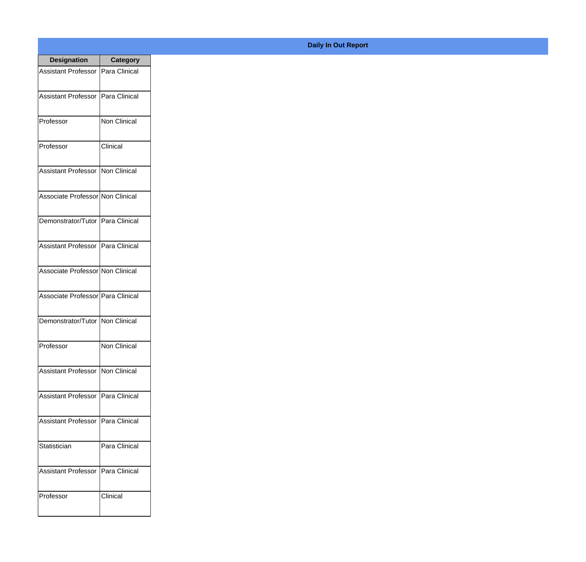| <b>Designation</b>                  | <b>Category</b> |
|-------------------------------------|-----------------|
| Assistant Professor   Para Clinical |                 |
| <b>Assistant Professor</b>          | Para Clinical   |
| Professor                           | Non Clinical    |
| Professor                           | Clinical        |
| <b>Assistant Professor</b>          | Non Clinical    |
| Associate Professor Non Clinical    |                 |
| Demonstrator/Tutor   Para Clinical  |                 |
| Assistant Professor   Para Clinical |                 |
| Associate Professor Non Clinical    |                 |
| Associate Professor   Para Clinical |                 |
| Demonstrator/Tutor                  | Non Clinical    |
| Professor                           | Non Clinical    |
| Assistant Professor Non Clinical    |                 |
| Assistant Professor   Para Clinical |                 |
| <b>Assistant Professor</b>          | Para Clinical   |
| Statistician                        | Para Clinical   |
| <b>Assistant Professor</b>          | Para Clinical   |
| Professor                           | Clinical        |

## **Daily In Out Report**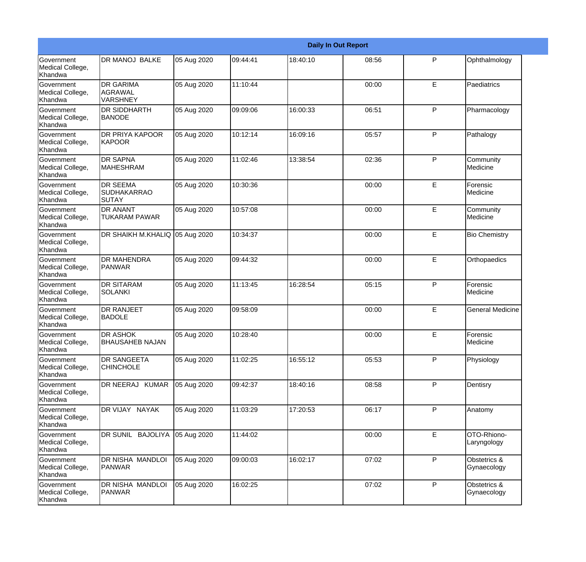|                                                  |                                                       |             |          |          | <b>Daily In Out Report</b> |   |                             |
|--------------------------------------------------|-------------------------------------------------------|-------------|----------|----------|----------------------------|---|-----------------------------|
| <b>Government</b><br>Medical College,<br>Khandwa | <b>DR MANOJ BALKE</b>                                 | 05 Aug 2020 | 09:44:41 | 18:40:10 | 08:56                      | P | Ophthalmology               |
| Government<br>Medical College,<br>Khandwa        | <b>DR GARIMA</b><br><b>AGRAWAL</b><br><b>VARSHNEY</b> | 05 Aug 2020 | 11:10:44 |          | 00:00                      | E | Paediatrics                 |
| <b>Government</b><br>Medical College,<br>Khandwa | <b>DR SIDDHARTH</b><br><b>BANODE</b>                  | 05 Aug 2020 | 09:09:06 | 16:00:33 | 06:51                      | P | Pharmacology                |
| <b>Government</b><br>Medical College,<br>Khandwa | <b>DR PRIYA KAPOOR</b><br><b>KAPOOR</b>               | 05 Aug 2020 | 10:12:14 | 16:09:16 | 05:57                      | P | Pathalogy                   |
| <b>Government</b><br>Medical College,<br>Khandwa | <b>DR SAPNA</b><br>MAHESHRAM                          | 05 Aug 2020 | 11:02:46 | 13:38:54 | 02:36                      | P | Community<br>Medicine       |
| Government<br>Medical College,<br>Khandwa        | <b>DR SEEMA</b><br><b>SUDHAKARRAO</b><br>ISUTAY       | 05 Aug 2020 | 10:30:36 |          | 00:00                      | E | Forensic<br>Medicine        |
| Government<br>Medical College,<br>Khandwa        | <b>DR ANANT</b><br><b>TUKARAM PAWAR</b>               | 05 Aug 2020 | 10:57:08 |          | 00:00                      | E | Community<br>Medicine       |
| Government<br>Medical College,<br>Khandwa        | DR SHAIKH M.KHALIQ 05 Aug 2020                        |             | 10:34:37 |          | 00:00                      | E | <b>Bio Chemistry</b>        |
| Government<br>Medical College,<br>Khandwa        | <b>DR MAHENDRA</b><br>PANWAR                          | 05 Aug 2020 | 09:44:32 |          | 00:00                      | E | Orthopaedics                |
| Government<br>Medical College,<br>Khandwa        | <b>DR SITARAM</b><br>ISOLANKI                         | 05 Aug 2020 | 11:13:45 | 16:28:54 | 05:15                      | P | Forensic<br>Medicine        |
| <b>Government</b><br>Medical College,<br>Khandwa | <b>DR RANJEET</b><br><b>BADOLE</b>                    | 05 Aug 2020 | 09:58:09 |          | 00:00                      | E | General Medicine            |
| Government<br>Medical College,<br>Khandwa        | <b>DR ASHOK</b><br><b>BHAUSAHEB NAJAN</b>             | 05 Aug 2020 | 10:28:40 |          | 00:00                      | E | <b>Forensic</b><br>Medicine |
| Government<br>Medical College,<br>Khandwa        | <b>DR SANGEETA</b><br><b>CHINCHOLE</b>                | 05 Aug 2020 | 11:02:25 | 16:55:12 | 05:53                      | P | Physiology                  |
| Government<br>Medical College,<br>Khandwa        | DR NEERAJ KUMAR                                       | 05 Aug 2020 | 09:42:37 | 18:40:16 | 08:58                      | P | Dentisry                    |
| Government<br>Medical College,<br>Khandwa        | DR VIJAY NAYAK                                        | 05 Aug 2020 | 11:03:29 | 17:20:53 | 06:17                      | P | Anatomy                     |
| Government<br>Medical College,<br>Khandwa        | DR SUNIL BAJOLIYA                                     | 05 Aug 2020 | 11:44:02 |          | 00:00                      | E | OTO-Rhiono-<br>Laryngology  |
| Government<br>Medical College,<br>Khandwa        | DR NISHA MANDLOI<br>PANWAR                            | 05 Aug 2020 | 09:00:03 | 16:02:17 | 07:02                      | P | Obstetrics &<br>Gynaecology |
| Government<br>Medical College,<br>Khandwa        | DR NISHA MANDLOI<br><b>PANWAR</b>                     | 05 Aug 2020 | 16:02:25 |          | 07:02                      | P | Obstetrics &<br>Gynaecology |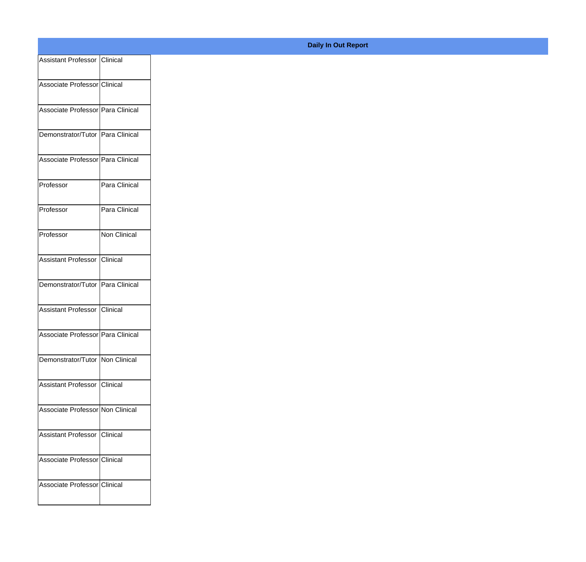| Assistant Professor Clinical      |               |
|-----------------------------------|---------------|
|                                   |               |
| Associate Professor Clinical      |               |
| Associate Professor Para Clinical |               |
|                                   |               |
| Demonstrator/Tutor Para Clinical  |               |
| Associate Professor Para Clinical |               |
|                                   |               |
| Professor                         | Para Clinical |
| Professor                         | Para Clinical |
|                                   |               |
| Professor                         | Non Clinical  |
| Assistant Professor Clinical      |               |
|                                   |               |
| Demonstrator/Tutor Para Clinical  |               |
| Assistant Professor Clinical      |               |
|                                   |               |
| Associate Professor Para Clinical |               |
| Demonstrator/Tutor   Non Clinical |               |
|                                   |               |
| Assistant Professor Clinical      |               |
| Associate Professor Non Clinical  |               |
|                                   |               |
| Assistant Professor Clinical      |               |
| Associate Professor Clinical      |               |
|                                   |               |
| Associate Professor Clinical      |               |
|                                   |               |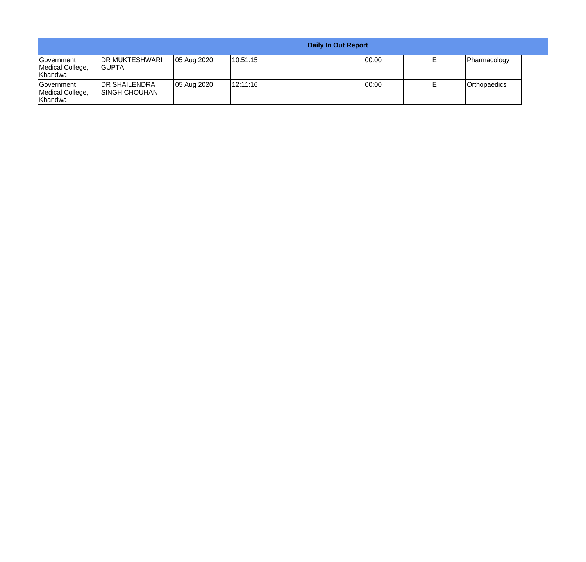|                                                   |                                                |             |          | <b>Daily In Out Report</b> |       |              |
|---------------------------------------------------|------------------------------------------------|-------------|----------|----------------------------|-------|--------------|
| <b>IGovernment</b><br>Medical College,<br>Khandwa | <b>IDR MUKTESHWARI</b><br><b>IGUPTA</b>        | 05 Aug 2020 | 10:51:15 |                            | 00:00 | Pharmacology |
| <b>Government</b><br>Medical College,<br>Khandwa  | <b>IDR SHAILENDRA</b><br><b>ISINGH CHOUHAN</b> | 05 Aug 2020 | 12:11:16 |                            | 00:00 | Orthopaedics |